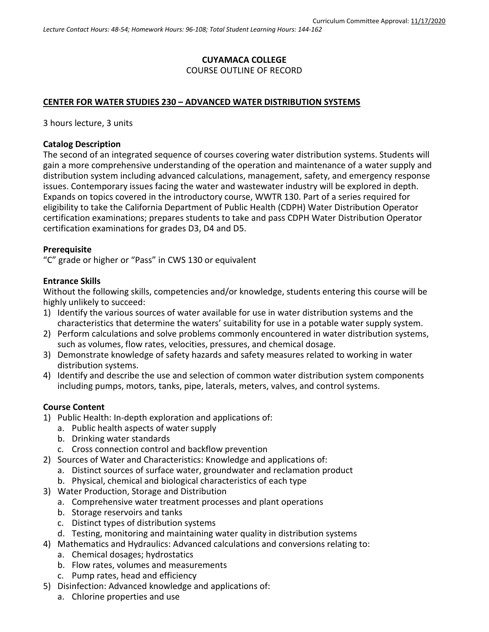### **CUYAMACA COLLEGE** COURSE OUTLINE OF RECORD

### **CENTER FOR WATER STUDIES 230 – ADVANCED WATER DISTRIBUTION SYSTEMS**

3 hours lecture, 3 units

#### **Catalog Description**

The second of an integrated sequence of courses covering water distribution systems. Students will gain a more comprehensive understanding of the operation and maintenance of a water supply and distribution system including advanced calculations, management, safety, and emergency response issues. Contemporary issues facing the water and wastewater industry will be explored in depth. Expands on topics covered in the introductory course, WWTR 130. Part of a series required for eligibility to take the California Department of Public Health (CDPH) Water Distribution Operator certification examinations; prepares students to take and pass CDPH Water Distribution Operator certification examinations for grades D3, D4 and D5.

#### **Prerequisite**

"C" grade or higher or "Pass" in CWS 130 or equivalent

#### **Entrance Skills**

Without the following skills, competencies and/or knowledge, students entering this course will be highly unlikely to succeed:

- 1) Identify the various sources of water available for use in water distribution systems and the characteristics that determine the waters' suitability for use in a potable water supply system.
- 2) Perform calculations and solve problems commonly encountered in water distribution systems, such as volumes, flow rates, velocities, pressures, and chemical dosage.
- 3) Demonstrate knowledge of safety hazards and safety measures related to working in water distribution systems.
- 4) Identify and describe the use and selection of common water distribution system components including pumps, motors, tanks, pipe, laterals, meters, valves, and control systems.

### **Course Content**

- 1) Public Health: In-depth exploration and applications of:
	- a. Public health aspects of water supply
	- b. Drinking water standards
	- c. Cross connection control and backflow prevention
- 2) Sources of Water and Characteristics: Knowledge and applications of:
	- a. Distinct sources of surface water, groundwater and reclamation product
	- b. Physical, chemical and biological characteristics of each type
- 3) Water Production, Storage and Distribution
	- a. Comprehensive water treatment processes and plant operations
	- b. Storage reservoirs and tanks
	- c. Distinct types of distribution systems
	- d. Testing, monitoring and maintaining water quality in distribution systems
- 4) Mathematics and Hydraulics: Advanced calculations and conversions relating to:
	- a. Chemical dosages; hydrostatics
	- b. Flow rates, volumes and measurements
	- c. Pump rates, head and efficiency
- 5) Disinfection: Advanced knowledge and applications of:
	- a. Chlorine properties and use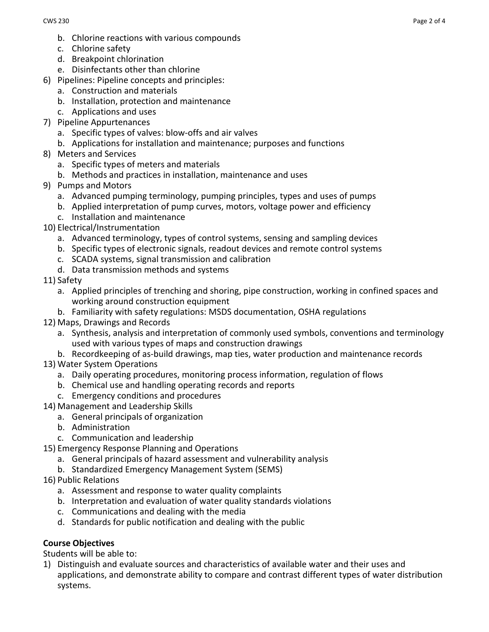- b. Chlorine reactions with various compounds
- c. Chlorine safety
- d. Breakpoint chlorination
- e. Disinfectants other than chlorine
- 6) Pipelines: Pipeline concepts and principles:
	- a. Construction and materials
	- b. Installation, protection and maintenance
	- c. Applications and uses
- 7) Pipeline Appurtenances
	- a. Specific types of valves: blow-offs and air valves
	- b. Applications for installation and maintenance; purposes and functions
- 8) Meters and Services
	- a. Specific types of meters and materials
	- b. Methods and practices in installation, maintenance and uses
- 9) Pumps and Motors
	- a. Advanced pumping terminology, pumping principles, types and uses of pumps
	- b. Applied interpretation of pump curves, motors, voltage power and efficiency
	- c. Installation and maintenance
- 10) Electrical/Instrumentation
	- a. Advanced terminology, types of control systems, sensing and sampling devices
	- b. Specific types of electronic signals, readout devices and remote control systems
	- c. SCADA systems, signal transmission and calibration
	- d. Data transmission methods and systems
- 11) Safety
	- a. Applied principles of trenching and shoring, pipe construction, working in confined spaces and working around construction equipment
	- b. Familiarity with safety regulations: MSDS documentation, OSHA regulations
- 12) Maps, Drawings and Records
	- a. Synthesis, analysis and interpretation of commonly used symbols, conventions and terminology used with various types of maps and construction drawings
	- b. Recordkeeping of as-build drawings, map ties, water production and maintenance records
- 13) Water System Operations
	- a. Daily operating procedures, monitoring process information, regulation of flows
	- b. Chemical use and handling operating records and reports
	- c. Emergency conditions and procedures
- 14) Management and Leadership Skills
	- a. General principals of organization
	- b. Administration
	- c. Communication and leadership
- 15) Emergency Response Planning and Operations
	- a. General principals of hazard assessment and vulnerability analysis
	- b. Standardized Emergency Management System (SEMS)
- 16) Public Relations
	- a. Assessment and response to water quality complaints
	- b. Interpretation and evaluation of water quality standards violations
	- c. Communications and dealing with the media
	- d. Standards for public notification and dealing with the public

# **Course Objectives**

Students will be able to:

1) Distinguish and evaluate sources and characteristics of available water and their uses and applications, and demonstrate ability to compare and contrast different types of water distribution systems.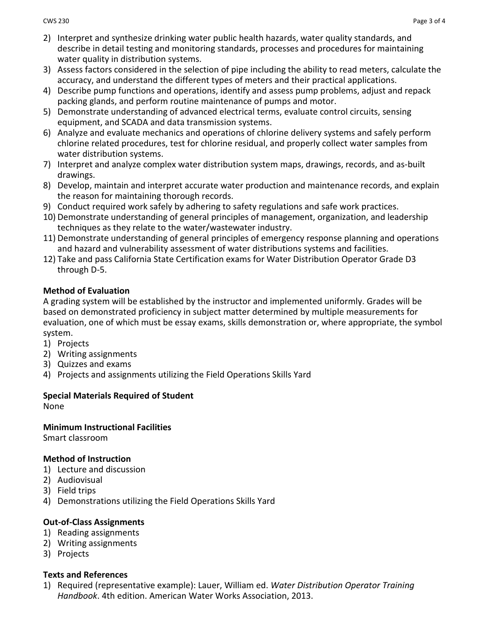- 2) Interpret and synthesize drinking water public health hazards, water quality standards, and describe in detail testing and monitoring standards, processes and procedures for maintaining water quality in distribution systems.
- 3) Assess factors considered in the selection of pipe including the ability to read meters, calculate the accuracy, and understand the different types of meters and their practical applications.
- 4) Describe pump functions and operations, identify and assess pump problems, adjust and repack packing glands, and perform routine maintenance of pumps and motor.
- 5) Demonstrate understanding of advanced electrical terms, evaluate control circuits, sensing equipment, and SCADA and data transmission systems.
- 6) Analyze and evaluate mechanics and operations of chlorine delivery systems and safely perform chlorine related procedures, test for chlorine residual, and properly collect water samples from water distribution systems.
- 7) Interpret and analyze complex water distribution system maps, drawings, records, and as-built drawings.
- 8) Develop, maintain and interpret accurate water production and maintenance records, and explain the reason for maintaining thorough records.
- 9) Conduct required work safely by adhering to safety regulations and safe work practices.
- 10) Demonstrate understanding of general principles of management, organization, and leadership techniques as they relate to the water/wastewater industry.
- 11) Demonstrate understanding of general principles of emergency response planning and operations and hazard and vulnerability assessment of water distributions systems and facilities.
- 12) Take and pass California State Certification exams for Water Distribution Operator Grade D3 through D-5.

## **Method of Evaluation**

A grading system will be established by the instructor and implemented uniformly. Grades will be based on demonstrated proficiency in subject matter determined by multiple measurements for evaluation, one of which must be essay exams, skills demonstration or, where appropriate, the symbol system.

- 1) Projects
- 2) Writing assignments
- 3) Quizzes and exams
- 4) Projects and assignments utilizing the Field Operations Skills Yard

# **Special Materials Required of Student**

None

## **Minimum Instructional Facilities**

Smart classroom

# **Method of Instruction**

- 1) Lecture and discussion
- 2) Audiovisual
- 3) Field trips
- 4) Demonstrations utilizing the Field Operations Skills Yard

# **Out-of-Class Assignments**

- 1) Reading assignments
- 2) Writing assignments
- 3) Projects

## **Texts and References**

1) Required (representative example): Lauer, William ed. *Water Distribution Operator Training Handbook*. 4th edition. American Water Works Association, 2013.